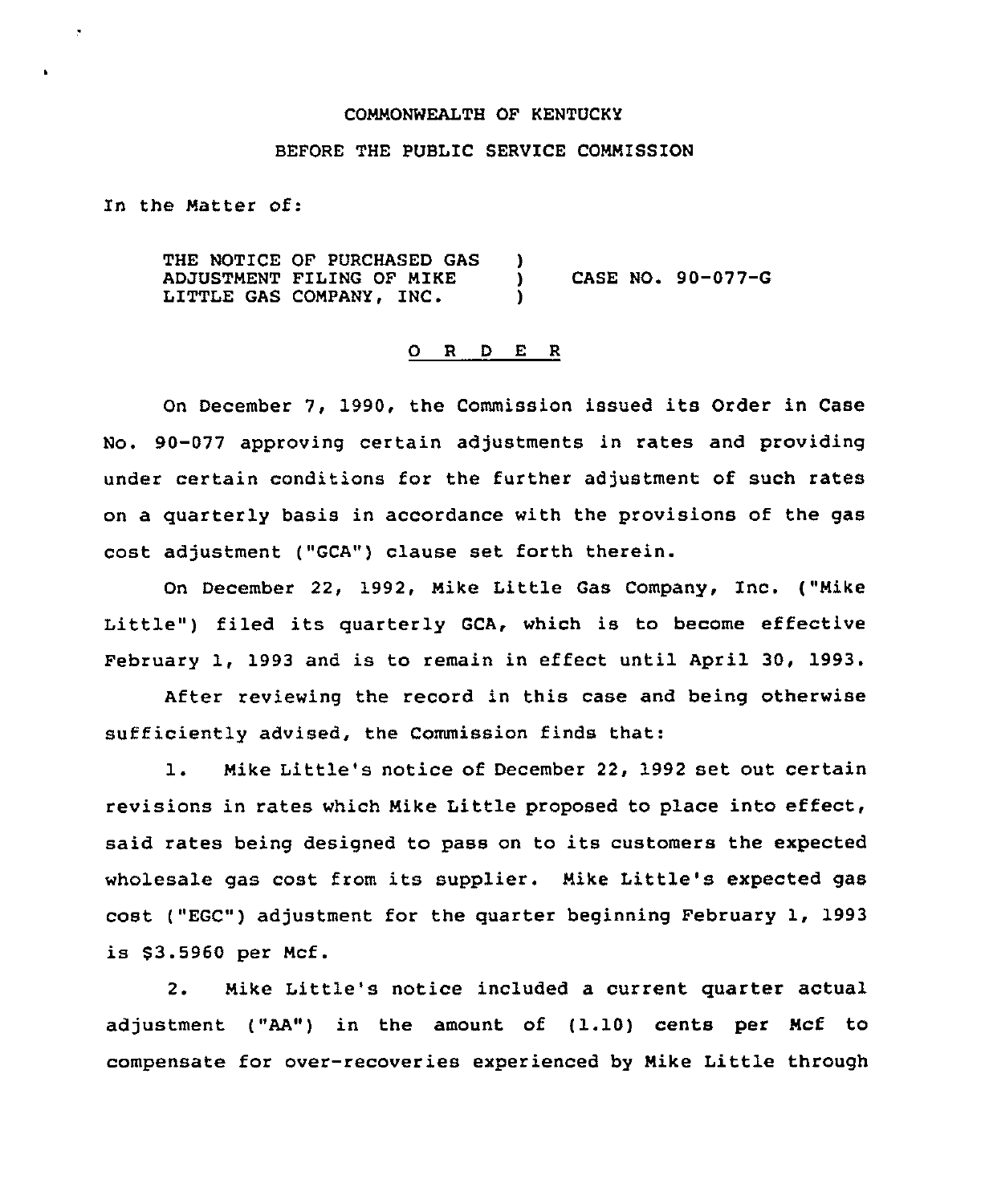## COMMONWEALTH OF KENTUCKY

## BEFORE THE PUBLIC SERVICE COMMISSION

In the Matter of:

THE NOTICE OF PURCHASED GAS )<br>ADJUSTMENT FILING OF MIKE ADJUSTMENT FILING OF NIKE ) CASE NO. 90-077-G LITTLE GAS COMPANY, INC.

## 0 R <sup>D</sup> E <sup>R</sup>

On December 7, 1990, the Commission issued its Order in Case No. 90-077 approving certain adjustments in rates and providing under certain conditions for the further adjustment of such rates on a quarterly basis in accordance with the provisions of the gas cost adjustment ("GCA") clause set forth therein.

On December 22, 1992, Mike Little Gas Company, Inc. ("Mike Little") filed its quarterly GCA, which is to become effective February 1, 1993 and is to remain in effect until April 30, 1993.

After reviewing the record in this case and being otherwise sufficiently advised, the Commission finds that:

1. Nike Little's notice of December 22, <sup>1992</sup> set out certain revisions in rates which Nike Little proposed to place into effect, said rates being designed to pass on to its customers the expected wholesale gas cost from its supplier. Mike Little's expected gas cost ("EGC") adjustment for the quarter beginning February 1, 1993 is \$3.5960 per Mcf.

2. Nike Little's notice included a current quarter actual adjustment ("AA") in the amount of (1.10) cents per Ncf to compensate for over-recoveries experienced by Mike Little through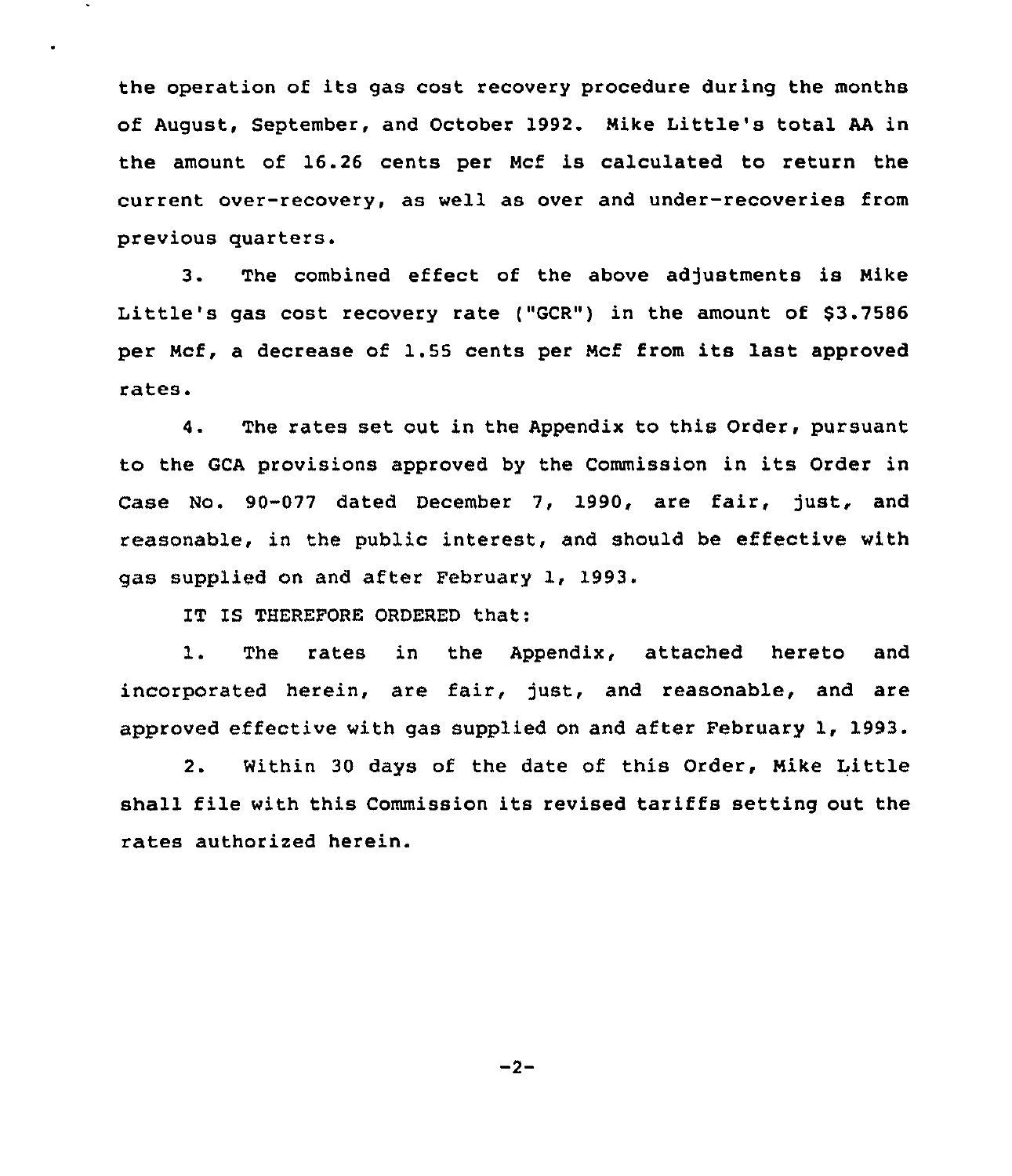the operation of its gas cost recovery procedure during the months of August, September, and October 1992. Mike Little's total AA in the amount of 16.26 cents per Ncf is calculated to return the current over-recovery, as well as over and under-recoveries from previous quarters.

3. The combined effect of the above adjustments is Nike Little's gas cost recovery rate ("GCR") in the amount of \$3.7586 per Ncf, <sup>a</sup> decrease of 1.55 cents per Mcf from its last approved rates.

4. The rates set out in the Appendix to this Order, pursuant to the GCA provisions approved by the Commission in its Order in Case No. 90-077 dated December 7, 1990, are fair, just, and reasonable, in the public interest, and should be effective with gas supplied on and after February 1, 1993.

IT IS THEREFORE ORDERED that:

1. The rates in the Appendix, attached hereto and incorporated herein, are fair, just, and reasonable, and are approved effective with gas supplied on and after February 1, 1993.

2. Within 30 days of the date of this Order, Mike Little shall file with this Commission its revised tariffs setting out the rates authorized herein.

 $-2-$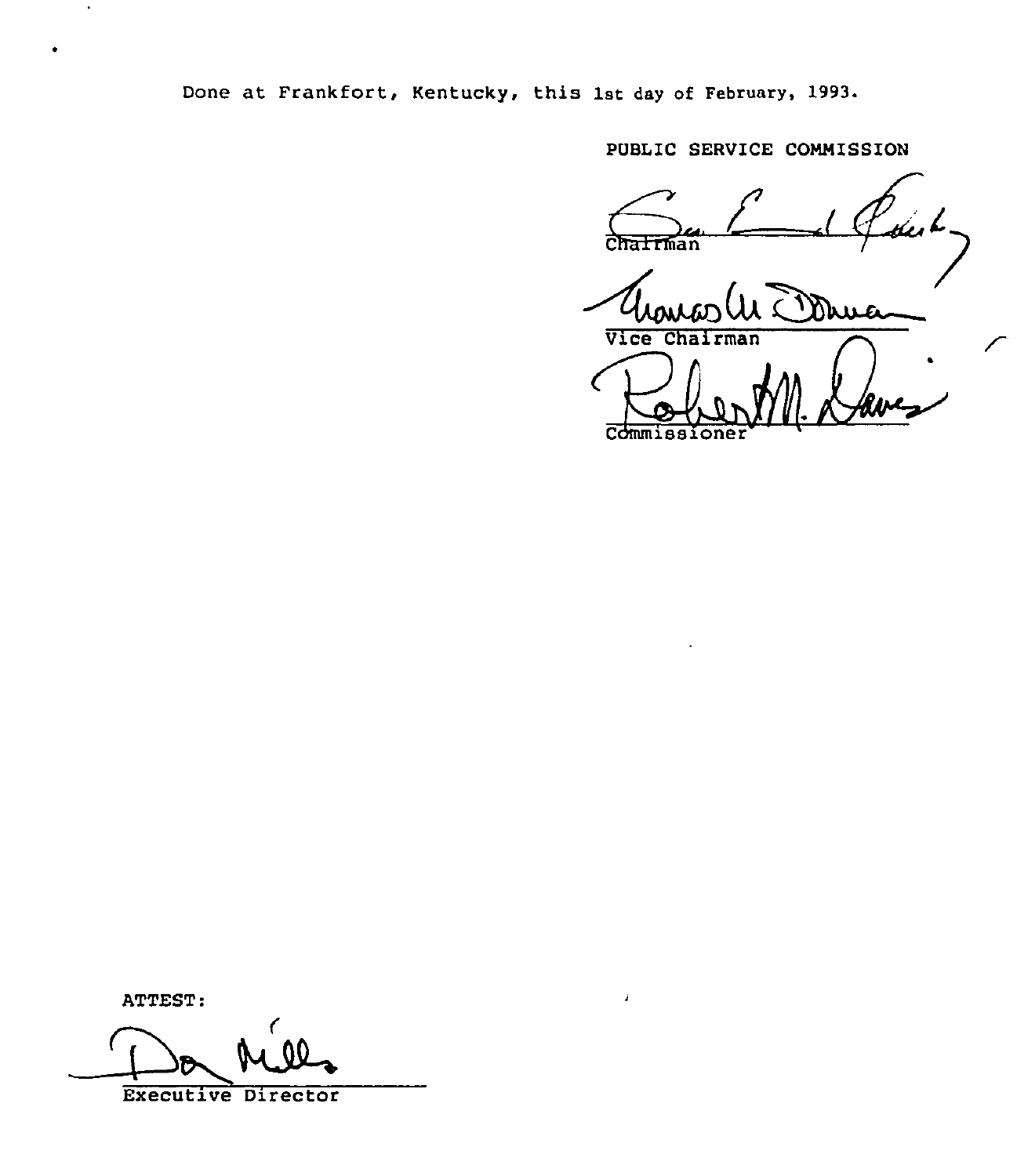Done at Frankfort, Kentucky, this 1st day of February, 1993.

PUBLIC SERVICE COMMISSION hua

Vice Chai rman

Commissi

ATTEST: